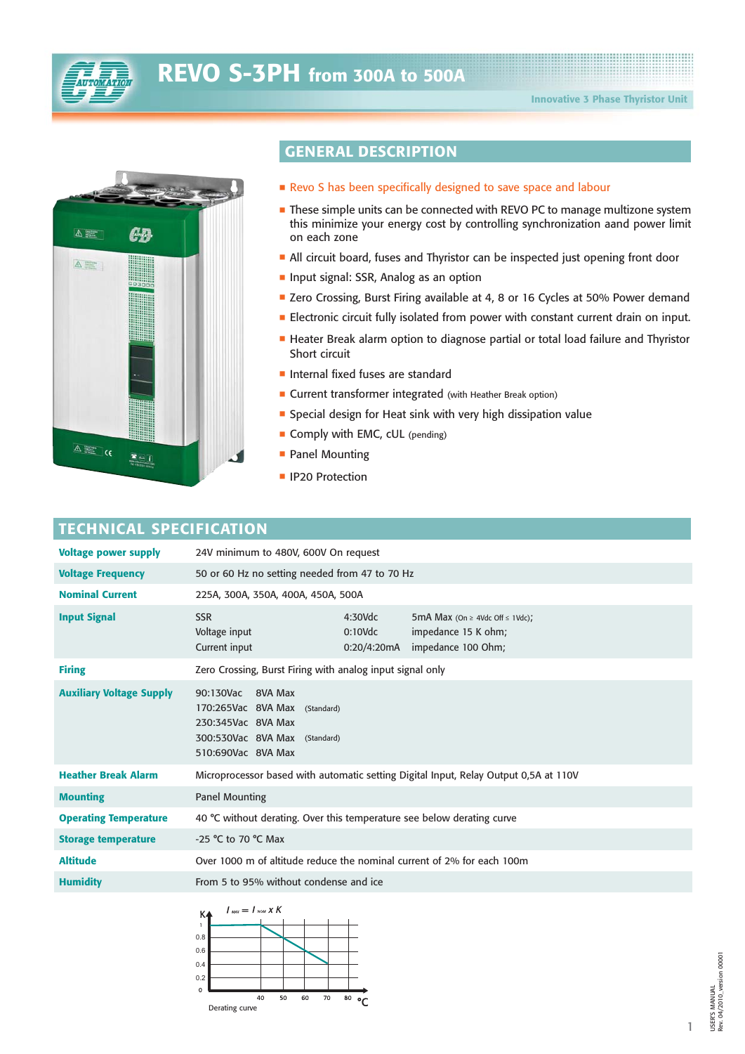



# **GENERAL DESCRIPTION**

- $\blacksquare$  Revo S has been specifically designed to save space and labour
- $\blacksquare$  These simple units can be connected with REVO PC to manage multizone system this minimize your energy cost by controlling synchronization aand power limit on each zone
- All circuit board, fuses and Thyristor can be inspected just opening front door
- $\blacksquare$  Input signal: SSR, Analog as an option
- Zero Crossing, Burst Firing available at 4, 8 or 16 Cycles at 50% Power demand
- **Electronic circuit fully isolated from power with constant current drain on input.**
- **E** Heater Break alarm option to diagnose partial or total load failure and Thyristor Short circuit
- Internal fixed fuses are standard
- **Example 2 Current transformer integrated** (with Heather Break option)
- Special design for Heat sink with very high dissipation value
- **Comply with EMC, cUL** (pending)
- Panel Mounting
- **IP20 Protection**

### **TECHNICAL SPECIFICATION**

| <b>Voltage power supply</b>     | 24V minimum to 480V, 600V On request                                                                                                                                              |  |  |  |  |  |  |  |  |
|---------------------------------|-----------------------------------------------------------------------------------------------------------------------------------------------------------------------------------|--|--|--|--|--|--|--|--|
| <b>Voltage Frequency</b>        | 50 or 60 Hz no setting needed from 47 to 70 Hz                                                                                                                                    |  |  |  |  |  |  |  |  |
| <b>Nominal Current</b>          | 225A, 300A, 350A, 400A, 450A, 500A                                                                                                                                                |  |  |  |  |  |  |  |  |
| <b>Input Signal</b>             | <b>SSR</b><br>$4:30$ Vdc<br>5mA Max (On $\geq$ 4Vdc Off $\leq$ 1Vdc);<br>Voltage input<br>impedance 15 K ohm;<br>$0:10$ Vdc<br>Current input<br>impedance 100 Ohm;<br>0:20/4:20mA |  |  |  |  |  |  |  |  |
| <b>Firing</b>                   | Zero Crossing, Burst Firing with analog input signal only                                                                                                                         |  |  |  |  |  |  |  |  |
| <b>Auxiliary Voltage Supply</b> | 90:130Vac 8VA Max<br>170:265Vac 8VA Max (Standard)<br>230:345Vac 8VA Max<br>300:530Vac 8VA Max (Standard)<br>510:690Vac 8VA Max                                                   |  |  |  |  |  |  |  |  |
| <b>Heather Break Alarm</b>      | Microprocessor based with automatic setting Digital Input, Relay Output 0,5A at 110V                                                                                              |  |  |  |  |  |  |  |  |
| <b>Mounting</b>                 | <b>Panel Mounting</b>                                                                                                                                                             |  |  |  |  |  |  |  |  |
| <b>Operating Temperature</b>    | 40 °C without derating. Over this temperature see below derating curve                                                                                                            |  |  |  |  |  |  |  |  |
| <b>Storage temperature</b>      | -25 °C to 70 °C Max                                                                                                                                                               |  |  |  |  |  |  |  |  |
| <b>Altitude</b>                 | Over 1000 m of altitude reduce the nominal current of 2% for each 100m                                                                                                            |  |  |  |  |  |  |  |  |
| <b>Humidity</b>                 | From 5 to 95% without condense and ice                                                                                                                                            |  |  |  |  |  |  |  |  |



1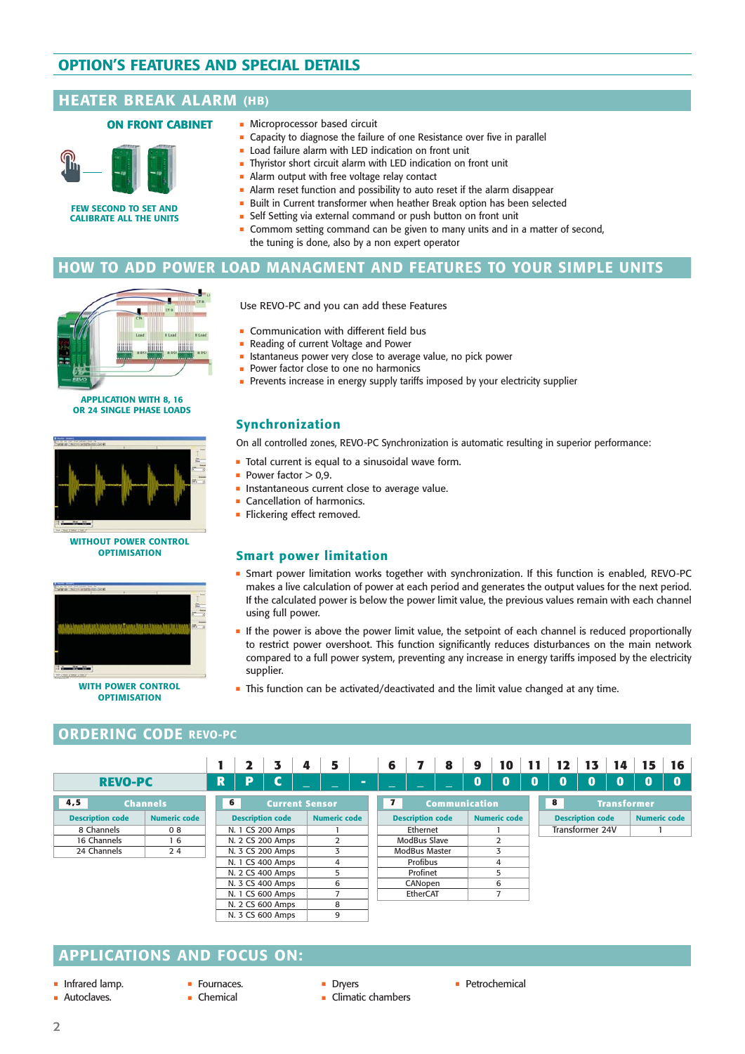# **OPTION'S FEATURES AND SPECIAL DETAILS OPTION'S FEATURES AND SPECIAL DETAILS**

### **HEATER BREAK ALARM (HB)**

#### **ON FRONT CABINET**



**FEW SECOND TO SET AND CALIBRATE ALL THE UNITS**

- Microprocessor based circuit
	- $\blacksquare$  Capacity to diagnose the failure of one Resistance over five in parallel
- Load failure alarm with LED indication on front unit
- Thyristor short circuit alarm with LED indication on front unit
- Alarm output with free voltage relay contact
- $\blacksquare$  Alarm reset function and possibility to auto reset if the alarm disappear
- Built in Current transformer when heather Break option has been selected
- Self Setting via external command or push button on front unit
- Commom setting command can be given to many units and in a matter of second, the tuning is done, also by a non expert operator

### **BURST FIRING HOW TO ADD POWER LOAD MANAGMENT AND FEATURES TO YOUR SIMPLE UNITS**

Istantaneus power very close to average value, no pick power



**APPLICATION WITH 8, 16 OR 24 SINGLE PHASE LOADS**



#### **WITHOUT POWER CONTROL OPTIMISATION**



**OPTIMISATION**

### **ORDERING CODE REVO-PC**

|                         |                      |   |                         | 3                     | 4                   | 5              |                                      | 6            |          |                    | 8 | 9                   | 10 | 11                      | 12 | 13 | 14                  | 15 | 16 |  |  |  |  |  |  |  |  |  |  |  |         |  |  |  |   |  |  |  |  |  |  |
|-------------------------|----------------------|---|-------------------------|-----------------------|---------------------|----------------|--------------------------------------|--------------|----------|--------------------|---|---------------------|----|-------------------------|----|----|---------------------|----|----|--|--|--|--|--|--|--|--|--|--|--|---------|--|--|--|---|--|--|--|--|--|--|
| <b>REVO-PC</b>          |                      | R | D                       | r                     |                     | $\sim$         |                                      |              |          |                    |   | $\bf{0}$            | Ō  | $\bf{0}$                | 0  | 0  | $\bf{0}$            | 0  | 0  |  |  |  |  |  |  |  |  |  |  |  |         |  |  |  |   |  |  |  |  |  |  |
| 4,5                     | 6<br><b>Channels</b> |   |                         | <b>Current Sensor</b> |                     |                | $\mathbf{7}$<br><b>Communication</b> |              |          |                    |   | 8                   |    | <b>Transformer</b>      |    |    |                     |    |    |  |  |  |  |  |  |  |  |  |  |  |         |  |  |  |   |  |  |  |  |  |  |
| <b>Description code</b> | <b>Numeric code</b>  |   | <b>Description code</b> |                       | <b>Numeric code</b> |                | <b>Description code</b>              |              |          |                    |   | <b>Numeric code</b> |    | <b>Description code</b> |    |    | <b>Numeric code</b> |    |    |  |  |  |  |  |  |  |  |  |  |  |         |  |  |  |   |  |  |  |  |  |  |
| 8 Channels              | 08                   |   | N. 1 CS 200 Amps        |                       |                     |                |                                      |              | Ethernet |                    |   |                     |    | Transformer 24V         |    |    |                     |    |    |  |  |  |  |  |  |  |  |  |  |  |         |  |  |  |   |  |  |  |  |  |  |
| 16 Channels             | 16                   |   |                         | N. 2 CS 200 Amps      |                     | $\overline{2}$ |                                      | ModBus Slave |          |                    | 2 |                     |    |                         |    |    |                     |    |    |  |  |  |  |  |  |  |  |  |  |  |         |  |  |  |   |  |  |  |  |  |  |
| 24 Channels             | 24                   |   |                         | N. 3 CS 200 Amps      |                     | 3              |                                      |              |          | 3<br>ModBus Master |   |                     |    |                         |    |    |                     |    |    |  |  |  |  |  |  |  |  |  |  |  |         |  |  |  |   |  |  |  |  |  |  |
|                         |                      |   |                         | N. 1 CS 400 Amps      |                     | 4              |                                      | Profibus     |          |                    | 4 |                     |    |                         |    |    |                     |    |    |  |  |  |  |  |  |  |  |  |  |  |         |  |  |  |   |  |  |  |  |  |  |
|                         |                      |   | N. 2 CS 400 Amps        |                       | 5                   |                |                                      |              | Profinet |                    |   |                     | 5  |                         |    |    |                     |    |    |  |  |  |  |  |  |  |  |  |  |  |         |  |  |  |   |  |  |  |  |  |  |
|                         |                      |   |                         |                       | N. 3 CS 400 Amps    |                |                                      |              |          | 6                  |   |                     |    |                         |    |    |                     |    |    |  |  |  |  |  |  |  |  |  |  |  | CANopen |  |  |  | 6 |  |  |  |  |  |  |
|                         |                      |   |                         | N. 1 CS 600 Amps      |                     |                |                                      |              | EtherCAT |                    |   |                     | 7  |                         |    |    |                     |    |    |  |  |  |  |  |  |  |  |  |  |  |         |  |  |  |   |  |  |  |  |  |  |
|                         |                      |   |                         | N. 2 CS 600 Amps      |                     | 8              |                                      |              |          |                    |   |                     |    |                         |    |    |                     |    |    |  |  |  |  |  |  |  |  |  |  |  |         |  |  |  |   |  |  |  |  |  |  |
|                         |                      |   |                         | N. 3 CS 600 Amps      |                     | 9              |                                      |              |          |                    |   |                     |    |                         |    |    |                     |    |    |  |  |  |  |  |  |  |  |  |  |  |         |  |  |  |   |  |  |  |  |  |  |

### **APPLICATIONS AND FOCUS ON:**

- Infrared lamp.
- **Autoclaves.**
- Fournaces.
- Chemical
- 
- Dryers - Climatic chambers
- **•** Petrochemical

- Prevents increase in energy supply tariffs imposed by your electricity supplier

Use REVO-PC and you can add these Features

**• Communication with different field bus** Reading of current Voltage and Power

- Power factor close to one no harmonics

### **Synchronization**

-

On all controlled zones, REVO-PC Synchronization is automatic resulting in superior performance:

- Total current is equal to a sinusoidal wave form.
- $\blacksquare$  Power factor  $>$  0,9.
- **Instantaneous current close to average value.**
- **Cancellation of harmonics.**
- Flickering effect removed.

### **Smart power limitation**

- $\;\;\bar{}\;$  Smart power limitation works together with synchronization. If this function is enabled, REVO-PC makes a live calculation of power at each period and generates the output values for the next period. If the calculated power is below the power limit value, the previous values remain with each channel using full power.
- If the power is above the power limit value, the setpoint of each channel is reduced proportionally to restrict power overshoot. This function significantly reduces disturbances on the main network compared to a full power system, preventing any increase in energy tariffs imposed by the electricity supplier.
- **This function can be activated/deactivated and the limit value changed at any time.**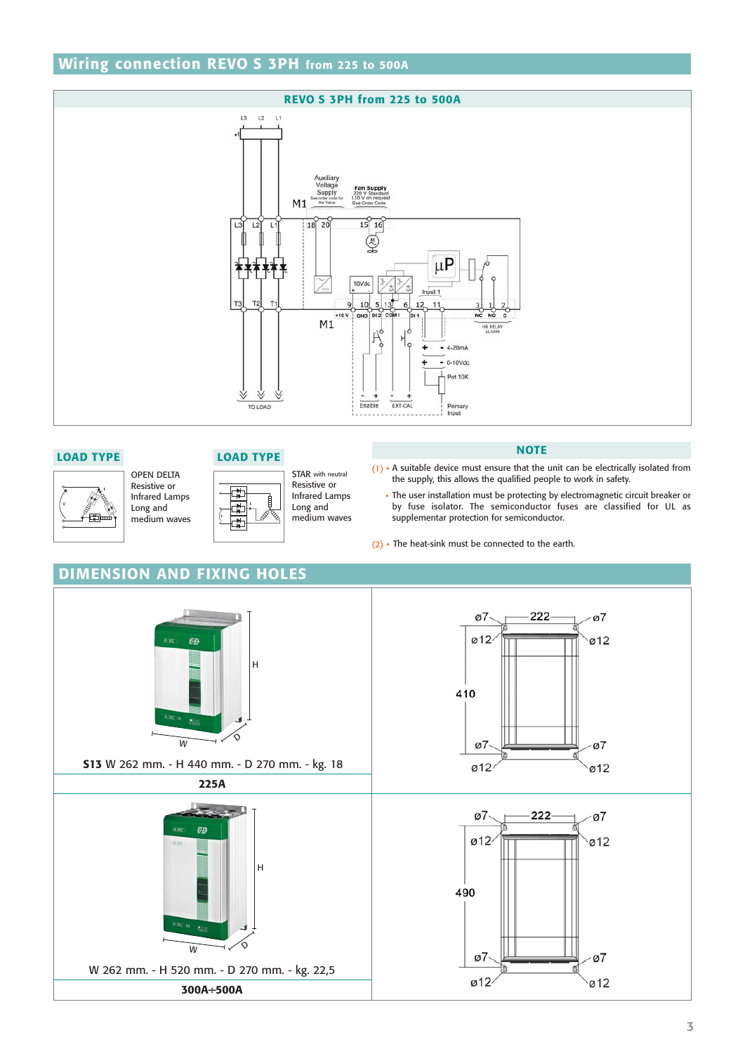# **Wiring connection REVO S 3PH from 225 to 500A**





#### **LOAD TYPE LOAD TYPE**

OPEN DELTA Resistive or Infrared Lamps Long and medium waves



뎧

STAR with neutral Resistive or Infrared Lamps Long and medium waves

#### **NOTE**

- $(1)$  A suitable device must ensure that the unit can be electrically isolated from the supply, this allows the qualified people to work in safety.
	- The user installation must be protecting by electromagnetic circuit breaker or by fuse isolator. The semiconductor fuses are classified for UL as supplementar protection for semiconductor.

 $\sigma$ 

 $\omega$ 12

ø7

 $Ø12$ 

 $\varnothing$ 

 $\omega$ 12

(2) • The heat-sink must be connected to the earth.

ø7

 $Ø12$ 



 $\hat{\diamond}$ W  $\rightarrow$ W 262 mm. - H 520 mm. - D 270 mm. - kg. 22,5 **300A÷500A**